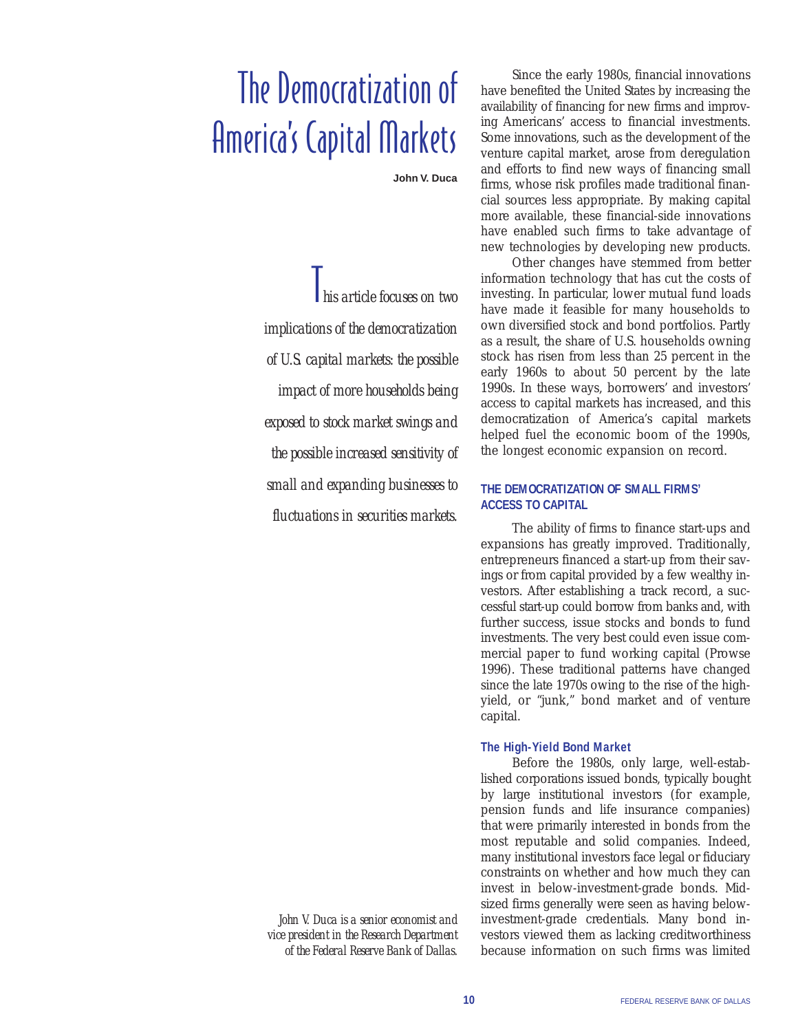# The Democratization of America's Capital Markets

**John V. Duca**

T*his article focuses on two implications of the democratization of U.S. capital markets: the possible impact of more households being exposed to stock market swings and the possible increased sensitivity of small and expanding businesses to fluctuations in securities markets.*

Since the early 1980s, financial innovations have benefited the United States by increasing the availability of financing for new firms and improving Americans' access to financial investments. Some innovations, such as the development of the venture capital market, arose from deregulation and efforts to find new ways of financing small firms, whose risk profiles made traditional financial sources less appropriate. By making capital more available, these financial-side innovations have enabled such firms to take advantage of new technologies by developing new products.

Other changes have stemmed from better information technology that has cut the costs of investing. In particular, lower mutual fund loads have made it feasible for many households to own diversified stock and bond portfolios. Partly as a result, the share of U.S. households owning stock has risen from less than 25 percent in the early 1960s to about 50 percent by the late 1990s. In these ways, borrowers' and investors' access to capital markets has increased, and this democratization of America's capital markets helped fuel the economic boom of the 1990s, the longest economic expansion on record.

## **THE DEMOCRATIZATION OF SMALL FIRMS' ACCESS TO CAPITAL**

The ability of firms to finance start-ups and expansions has greatly improved. Traditionally, entrepreneurs financed a start-up from their savings or from capital provided by a few wealthy investors. After establishing a track record, a successful start-up could borrow from banks and, with further success, issue stocks and bonds to fund investments. The very best could even issue commercial paper to fund working capital (Prowse 1996). These traditional patterns have changed since the late 1970s owing to the rise of the highyield, or "junk," bond market and of venture capital.

## **The High-Yield Bond Market**

Before the 1980s, only large, well-established corporations issued bonds, typically bought by large institutional investors (for example, pension funds and life insurance companies) that were primarily interested in bonds from the most reputable and solid companies. Indeed, many institutional investors face legal or fiduciary constraints on whether and how much they can invest in below-investment-grade bonds. Midsized firms generally were seen as having belowinvestment-grade credentials. Many bond investors viewed them as lacking creditworthiness because information on such firms was limited

*John V. Duca is a senior economist and vice president in the Research Department of the Federal Reserve Bank of Dallas.*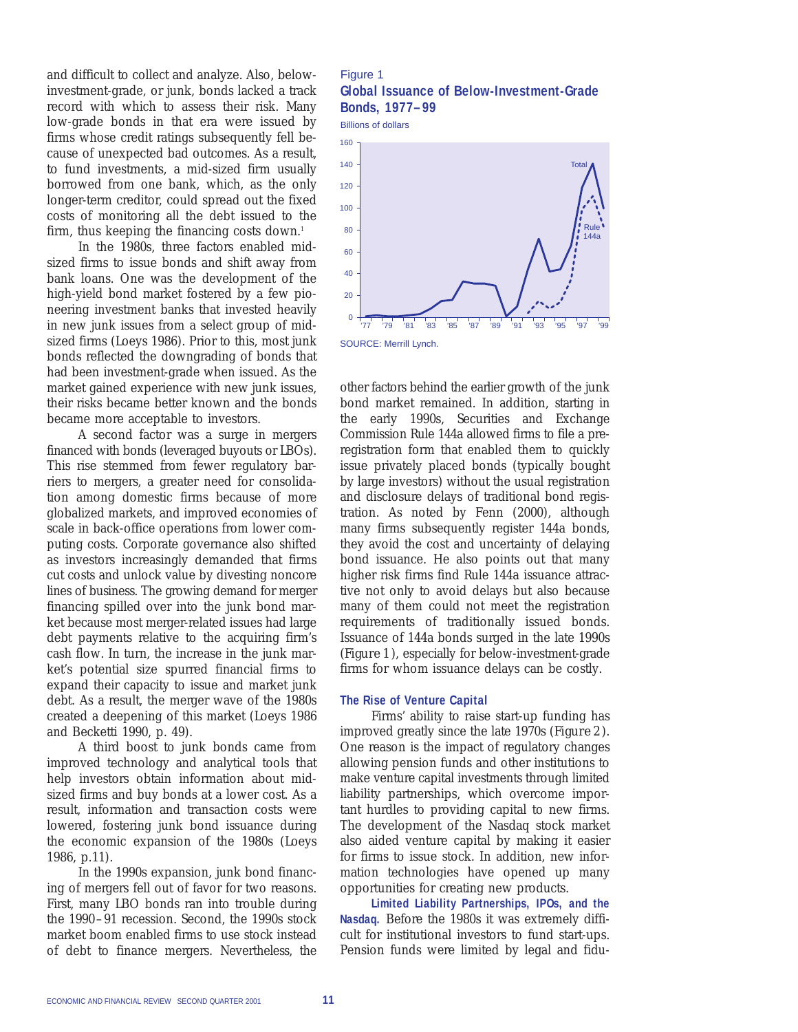and difficult to collect and analyze. Also, belowinvestment-grade, or junk, bonds lacked a track record with which to assess their risk. Many low-grade bonds in that era were issued by firms whose credit ratings subsequently fell because of unexpected bad outcomes. As a result, to fund investments, a mid-sized firm usually borrowed from one bank, which, as the only longer-term creditor, could spread out the fixed costs of monitoring all the debt issued to the firm, thus keeping the financing costs down.<sup>1</sup>

In the 1980s, three factors enabled midsized firms to issue bonds and shift away from bank loans. One was the development of the high-yield bond market fostered by a few pioneering investment banks that invested heavily in new junk issues from a select group of midsized firms (Loeys 1986). Prior to this, most junk bonds reflected the downgrading of bonds that had been investment-grade when issued. As the market gained experience with new junk issues, their risks became better known and the bonds became more acceptable to investors.

A second factor was a surge in mergers financed with bonds (leveraged buyouts or LBOs). This rise stemmed from fewer regulatory barriers to mergers, a greater need for consolidation among domestic firms because of more globalized markets, and improved economies of scale in back-office operations from lower computing costs. Corporate governance also shifted as investors increasingly demanded that firms cut costs and unlock value by divesting noncore lines of business. The growing demand for merger financing spilled over into the junk bond market because most merger-related issues had large debt payments relative to the acquiring firm's cash flow. In turn, the increase in the junk market's potential size spurred financial firms to expand their capacity to issue and market junk debt. As a result, the merger wave of the 1980s created a deepening of this market (Loeys 1986 and Becketti 1990, p. 49).

A third boost to junk bonds came from improved technology and analytical tools that help investors obtain information about midsized firms and buy bonds at a lower cost. As a result, information and transaction costs were lowered, fostering junk bond issuance during the economic expansion of the 1980s (Loeys 1986, p.11).

In the 1990s expansion, junk bond financing of mergers fell out of favor for two reasons. First, many LBO bonds ran into trouble during the 1990–91 recession. Second, the 1990s stock market boom enabled firms to use stock instead of debt to finance mergers. Nevertheless, the

## Figure 1 **Global Issuance of Below-Investment-Grade Bonds, 1977–99**

Billions of dollars



other factors behind the earlier growth of the junk bond market remained. In addition, starting in the early 1990s, Securities and Exchange Commission Rule 144a allowed firms to file a preregistration form that enabled them to quickly issue privately placed bonds (typically bought by large investors) without the usual registration and disclosure delays of traditional bond registration. As noted by Fenn (2000), although many firms subsequently register 144a bonds, they avoid the cost and uncertainty of delaying bond issuance. He also points out that many higher risk firms find Rule 144a issuance attractive not only to avoid delays but also because many of them could not meet the registration requirements of traditionally issued bonds. Issuance of 144a bonds surged in the late 1990s (*Figure 1*), especially for below-investment-grade firms for whom issuance delays can be costly.

#### **The Rise of Venture Capital**

Firms' ability to raise start-up funding has improved greatly since the late 1970s (*Figure 2*). One reason is the impact of regulatory changes allowing pension funds and other institutions to make venture capital investments through limited liability partnerships, which overcome important hurdles to providing capital to new firms. The development of the Nasdaq stock market also aided venture capital by making it easier for firms to issue stock. In addition, new information technologies have opened up many opportunities for creating new products.

**Limited Liability Partnerships, IPOs, and the Nasdaq.** Before the 1980s it was extremely difficult for institutional investors to fund start-ups. Pension funds were limited by legal and fidu-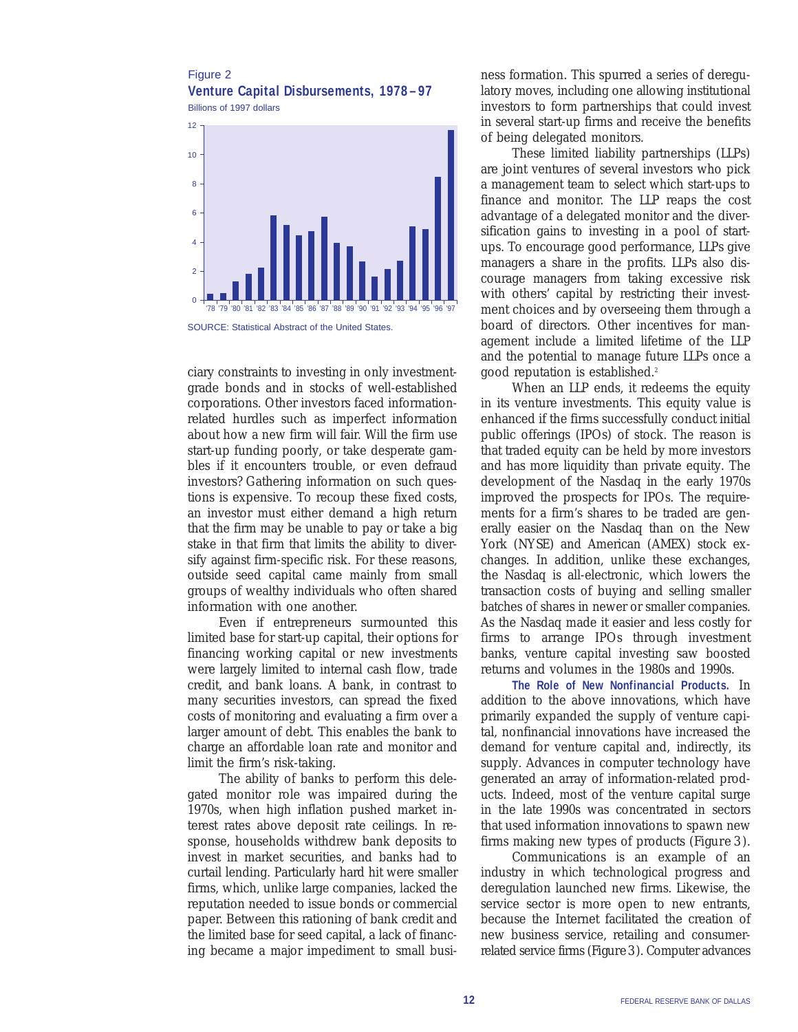#### Figure 2 **Venture Capital Disbursements, 1978–97** Billions of 1997 dollars





ciary constraints to investing in only investmentgrade bonds and in stocks of well-established corporations. Other investors faced informationrelated hurdles such as imperfect information about how a new firm will fair. Will the firm use start-up funding poorly, or take desperate gambles if it encounters trouble, or even defraud investors? Gathering information on such questions is expensive. To recoup these fixed costs, an investor must either demand a high return that the firm may be unable to pay or take a big stake in that firm that limits the ability to diversify against firm-specific risk. For these reasons, outside seed capital came mainly from small groups of wealthy individuals who often shared information with one another.

Even if entrepreneurs surmounted this limited base for start-up capital, their options for financing working capital or new investments were largely limited to internal cash flow, trade credit, and bank loans. A bank, in contrast to many securities investors, can spread the fixed costs of monitoring and evaluating a firm over a larger amount of debt. This enables the bank to charge an affordable loan rate and monitor and limit the firm's risk-taking.

The ability of banks to perform this delegated monitor role was impaired during the 1970s, when high inflation pushed market interest rates above deposit rate ceilings. In response, households withdrew bank deposits to invest in market securities, and banks had to curtail lending. Particularly hard hit were smaller firms, which, unlike large companies, lacked the reputation needed to issue bonds or commercial paper. Between this rationing of bank credit and the limited base for seed capital, a lack of financing became a major impediment to small busi-

ness formation. This spurred a series of deregulatory moves, including one allowing institutional investors to form partnerships that could invest in several start-up firms and receive the benefits of being delegated monitors.

These limited liability partnerships (LLPs) are joint ventures of several investors who pick a management team to select which start-ups to finance and monitor. The LLP reaps the cost advantage of a delegated monitor and the diversification gains to investing in a pool of startups. To encourage good performance, LLPs give managers a share in the profits. LLPs also discourage managers from taking excessive risk with others' capital by restricting their investment choices and by overseeing them through a board of directors. Other incentives for management include a limited lifetime of the LLP and the potential to manage future LLPs once a good reputation is established.<sup>2</sup>

When an LLP ends, it redeems the equity in its venture investments. This equity value is enhanced if the firms successfully conduct initial public offerings (IPOs) of stock. The reason is that traded equity can be held by more investors and has more liquidity than private equity. The development of the Nasdaq in the early 1970s improved the prospects for IPOs. The requirements for a firm's shares to be traded are generally easier on the Nasdaq than on the New York (NYSE) and American (AMEX) stock exchanges. In addition, unlike these exchanges, the Nasdaq is all-electronic, which lowers the transaction costs of buying and selling smaller batches of shares in newer or smaller companies. As the Nasdaq made it easier and less costly for firms to arrange IPOs through investment banks, venture capital investing saw boosted returns and volumes in the 1980s and 1990s.

**The Role of New Nonfinancial Products.** In addition to the above innovations, which have primarily expanded the supply of venture capital, nonfinancial innovations have increased the demand for venture capital and, indirectly, its supply. Advances in computer technology have generated an array of information-related products. Indeed, most of the venture capital surge in the late 1990s was concentrated in sectors that used information innovations to spawn new firms making new types of products (*Figure 3*).

Communications is an example of an industry in which technological progress and deregulation launched new firms. Likewise, the service sector is more open to new entrants, because the Internet facilitated the creation of new business service, retailing and consumerrelated service firms (*Figure 3*). Computer advances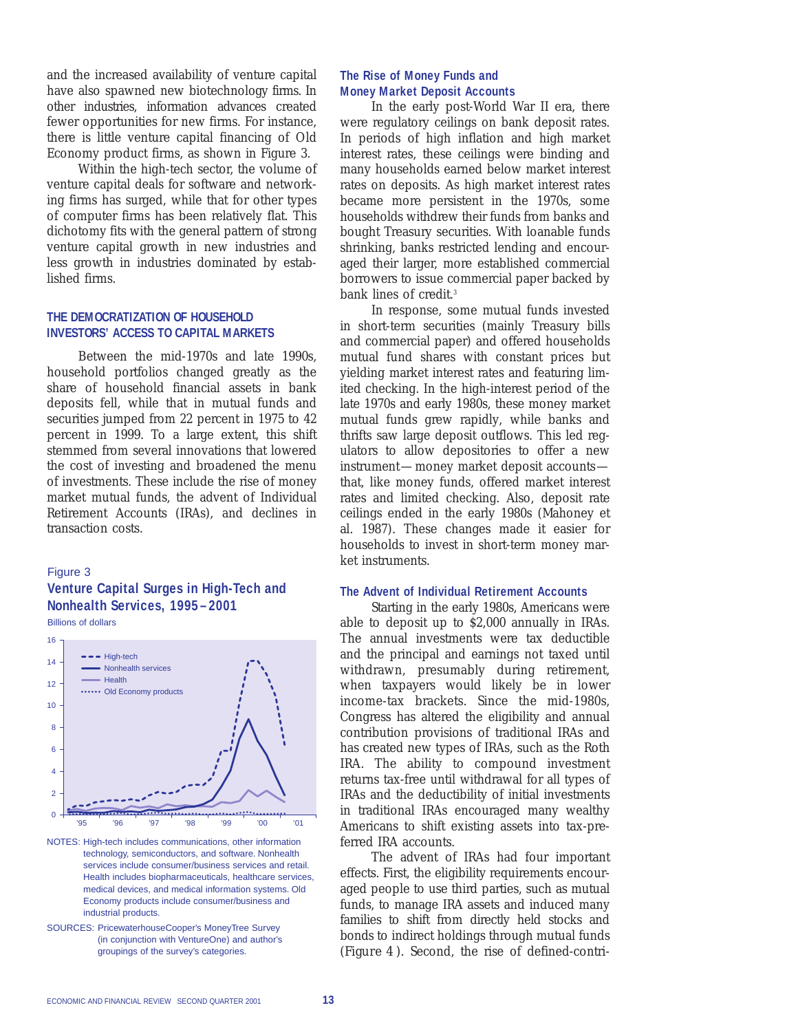and the increased availability of venture capital have also spawned new biotechnology firms. In other industries, information advances created fewer opportunities for new firms. For instance, there is little venture capital financing of Old Economy product firms, as shown in Figure 3.

Within the high-tech sector, the volume of venture capital deals for software and networking firms has surged, while that for other types of computer firms has been relatively flat. This dichotomy fits with the general pattern of strong venture capital growth in new industries and less growth in industries dominated by established firms.

#### **THE DEMOCRATIZATION OF HOUSEHOLD INVESTORS' ACCESS TO CAPITAL MARKETS**

Between the mid-1970s and late 1990s, household portfolios changed greatly as the share of household financial assets in bank deposits fell, while that in mutual funds and securities jumped from 22 percent in 1975 to 42 percent in 1999. To a large extent, this shift stemmed from several innovations that lowered the cost of investing and broadened the menu of investments. These include the rise of money market mutual funds, the advent of Individual Retirement Accounts (IRAs), and declines in transaction costs.

## Figure 3

# **Venture Capital Surges in High-Tech and Nonhealth Services, 1995–2001**

Billions of dollars



NOTES: High-tech includes communications, other information technology, semiconductors, and software. Nonhealth services include consumer/business services and retail. Health includes biopharmaceuticals, healthcare services, medical devices, and medical information systems. Old Economy products include consumer/business and industrial products.

### **The Rise of Money Funds and Money Market Deposit Accounts**

In the early post-World War II era, there were regulatory ceilings on bank deposit rates. In periods of high inflation and high market interest rates, these ceilings were binding and many households earned below market interest rates on deposits. As high market interest rates became more persistent in the 1970s, some households withdrew their funds from banks and bought Treasury securities. With loanable funds shrinking, banks restricted lending and encouraged their larger, more established commercial borrowers to issue commercial paper backed by bank lines of credit.<sup>3</sup>

In response, some mutual funds invested in short-term securities (mainly Treasury bills and commercial paper) and offered households mutual fund shares with constant prices but yielding market interest rates and featuring limited checking. In the high-interest period of the late 1970s and early 1980s, these money market mutual funds grew rapidly, while banks and thrifts saw large deposit outflows. This led regulators to allow depositories to offer a new instrument—money market deposit accounts that, like money funds, offered market interest rates and limited checking. Also, deposit rate ceilings ended in the early 1980s (Mahoney et al. 1987). These changes made it easier for households to invest in short-term money market instruments.

#### **The Advent of Individual Retirement Accounts**

Starting in the early 1980s, Americans were able to deposit up to \$2,000 annually in IRAs. The annual investments were tax deductible and the principal and earnings not taxed until withdrawn, presumably during retirement, when taxpayers would likely be in lower income-tax brackets. Since the mid-1980s, Congress has altered the eligibility and annual contribution provisions of traditional IRAs and has created new types of IRAs, such as the Roth IRA. The ability to compound investment returns tax-free until withdrawal for all types of IRAs and the deductibility of initial investments in traditional IRAs encouraged many wealthy Americans to shift existing assets into tax-preferred IRA accounts.

The advent of IRAs had four important effects. First, the eligibility requirements encouraged people to use third parties, such as mutual funds, to manage IRA assets and induced many families to shift from directly held stocks and bonds to indirect holdings through mutual funds (*Figure 4* ). Second, the rise of defined-contri-

SOURCES: PricewaterhouseCooper's MoneyTree Survey (in conjunction with VentureOne) and author's groupings of the survey's categories.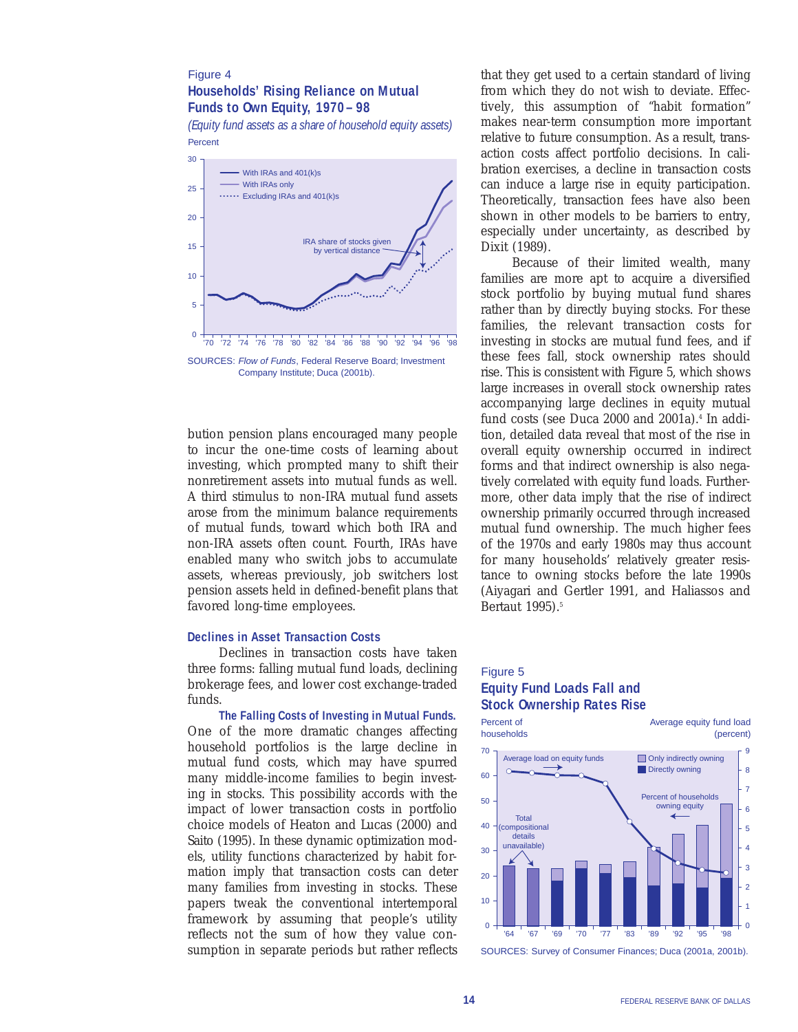## Figure 4 **Households' Rising Reliance on Mutual Funds to Own Equity, 1970– 98**

*(Equity fund assets as a share of household equity assets)* Percent



bution pension plans encouraged many people to incur the one-time costs of learning about investing, which prompted many to shift their nonretirement assets into mutual funds as well. A third stimulus to non-IRA mutual fund assets arose from the minimum balance requirements of mutual funds, toward which both IRA and non-IRA assets often count. Fourth, IRAs have enabled many who switch jobs to accumulate assets, whereas previously, job switchers lost pension assets held in defined-benefit plans that favored long-time employees.

## **Declines in Asset Transaction Costs**

Declines in transaction costs have taken three forms: falling mutual fund loads, declining brokerage fees, and lower cost exchange-traded funds.

**The Falling Costs of Investing in Mutual Funds.** One of the more dramatic changes affecting household portfolios is the large decline in mutual fund costs, which may have spurred many middle-income families to begin investing in stocks. This possibility accords with the impact of lower transaction costs in portfolio choice models of Heaton and Lucas (2000) and Saito (1995). In these dynamic optimization models, utility functions characterized by habit formation imply that transaction costs can deter many families from investing in stocks. These papers tweak the conventional intertemporal framework by assuming that people's utility reflects not the sum of how they value consumption in separate periods but rather reflects

that they get used to a certain standard of living from which they do not wish to deviate. Effectively, this assumption of "habit formation" makes near-term consumption more important relative to future consumption. As a result, transaction costs affect portfolio decisions. In calibration exercises, a decline in transaction costs can induce a large rise in equity participation. Theoretically, transaction fees have also been shown in other models to be barriers to entry, especially under uncertainty, as described by Dixit (1989).

Because of their limited wealth, many families are more apt to acquire a diversified stock portfolio by buying mutual fund shares rather than by directly buying stocks. For these families, the relevant transaction costs for investing in stocks are mutual fund fees, and if these fees fall, stock ownership rates should rise. This is consistent with Figure 5, which shows large increases in overall stock ownership rates accompanying large declines in equity mutual fund costs (see Duca 2000 and 2001a).<sup>4</sup> In addition, detailed data reveal that most of the rise in overall equity ownership occurred in indirect forms and that indirect ownership is also negatively correlated with equity fund loads. Furthermore, other data imply that the rise of indirect ownership primarily occurred through increased mutual fund ownership. The much higher fees of the 1970s and early 1980s may thus account for many households' relatively greater resistance to owning stocks before the late 1990s (Aiyagari and Gertler 1991, and Haliassos and Bertaut 1995).<sup>5</sup>

## Figure 5 **Equity Fund Loads Fall and Stock Ownership Rates Rise**



SOURCES: Survey of Consumer Finances; Duca (2001a, 2001b).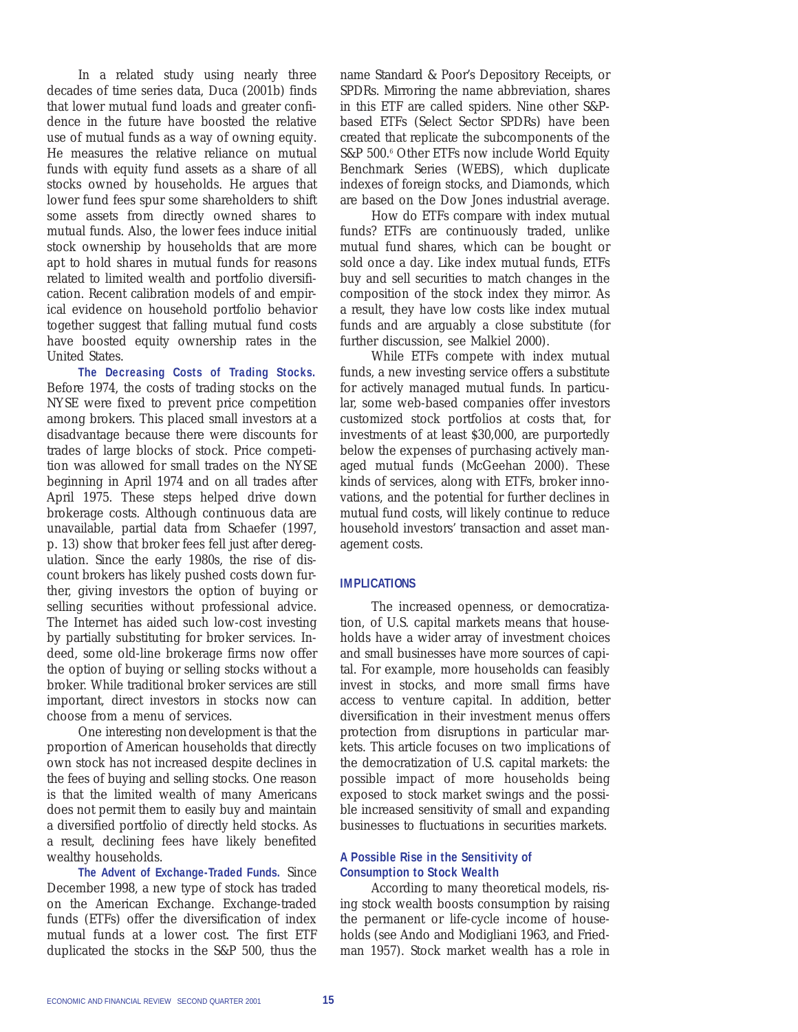In a related study using nearly three decades of time series data, Duca (2001b) finds that lower mutual fund loads and greater confidence in the future have boosted the relative use of mutual funds as a way of owning equity. He measures the relative reliance on mutual funds with equity fund assets as a share of all stocks owned by households. He argues that lower fund fees spur some shareholders to shift some assets from directly owned shares to mutual funds. Also, the lower fees induce initial stock ownership by households that are more apt to hold shares in mutual funds for reasons related to limited wealth and portfolio diversification. Recent calibration models of and empirical evidence on household portfolio behavior together suggest that falling mutual fund costs have boosted equity ownership rates in the United States.

**The Decreasing Costs of Trading Stocks.** Before 1974, the costs of trading stocks on the NYSE were fixed to prevent price competition among brokers. This placed small investors at a disadvantage because there were discounts for trades of large blocks of stock. Price competition was allowed for small trades on the NYSE beginning in April 1974 and on all trades after April 1975. These steps helped drive down brokerage costs. Although continuous data are unavailable, partial data from Schaefer (1997, p. 13) show that broker fees fell just after deregulation. Since the early 1980s, the rise of discount brokers has likely pushed costs down further, giving investors the option of buying or selling securities without professional advice. The Internet has aided such low-cost investing by partially substituting for broker services. Indeed, some old-line brokerage firms now offer the option of buying or selling stocks without a broker. While traditional broker services are still important, direct investors in stocks now can choose from a menu of services.

One interesting *non*development is that the proportion of American households that directly own stock has not increased despite declines in the fees of buying and selling stocks. One reason is that the limited wealth of many Americans does not permit them to easily buy and maintain a diversified portfolio of directly held stocks. As a result, declining fees have likely benefited wealthy households.

**The Advent of Exchange-Traded Funds.** Since December 1998, a new type of stock has traded on the American Exchange. Exchange-traded funds (ETFs) offer the diversification of index mutual funds at a lower cost. The first ETF duplicated the stocks in the S&P 500, thus the

name Standard & Poor's Depository Receipts, or SPDRs. Mirroring the name abbreviation, shares in this ETF are called spiders. Nine other S&Pbased ETFs (Select Sector SPDRs) have been created that replicate the subcomponents of the S&P 500.<sup>6</sup> Other ETFs now include World Equity Benchmark Series (WEBS), which duplicate indexes of foreign stocks, and Diamonds, which are based on the Dow Jones industrial average.

How do ETFs compare with index mutual funds? ETFs are continuously traded, unlike mutual fund shares, which can be bought or sold once a day. Like index mutual funds, ETFs buy and sell securities to match changes in the composition of the stock index they mirror. As a result, they have low costs like index mutual funds and are arguably a close substitute (for further discussion, see Malkiel 2000).

While ETFs compete with index mutual funds, a new investing service offers a substitute for actively managed mutual funds. In particular, some web-based companies offer investors customized stock portfolios at costs that, for investments of at least \$30,000, are purportedly below the expenses of purchasing actively managed mutual funds (McGeehan 2000). These kinds of services, along with ETFs, broker innovations, and the potential for further declines in mutual fund costs, will likely continue to reduce household investors' transaction and asset management costs.

#### **IMPLICATIONS**

The increased openness, or democratization, of U.S. capital markets means that households have a wider array of investment choices and small businesses have more sources of capital. For example, more households can feasibly invest in stocks, and more small firms have access to venture capital. In addition, better diversification in their investment menus offers protection from disruptions in particular markets. This article focuses on two implications of the democratization of U.S. capital markets: the possible impact of more households being exposed to stock market swings and the possible increased sensitivity of small and expanding businesses to fluctuations in securities markets.

#### **A Possible Rise in the Sensitivity of Consumption to Stock Wealth**

According to many theoretical models, rising stock wealth boosts consumption by raising the permanent or life-cycle income of households (see Ando and Modigliani 1963, and Friedman 1957). Stock market wealth has a role in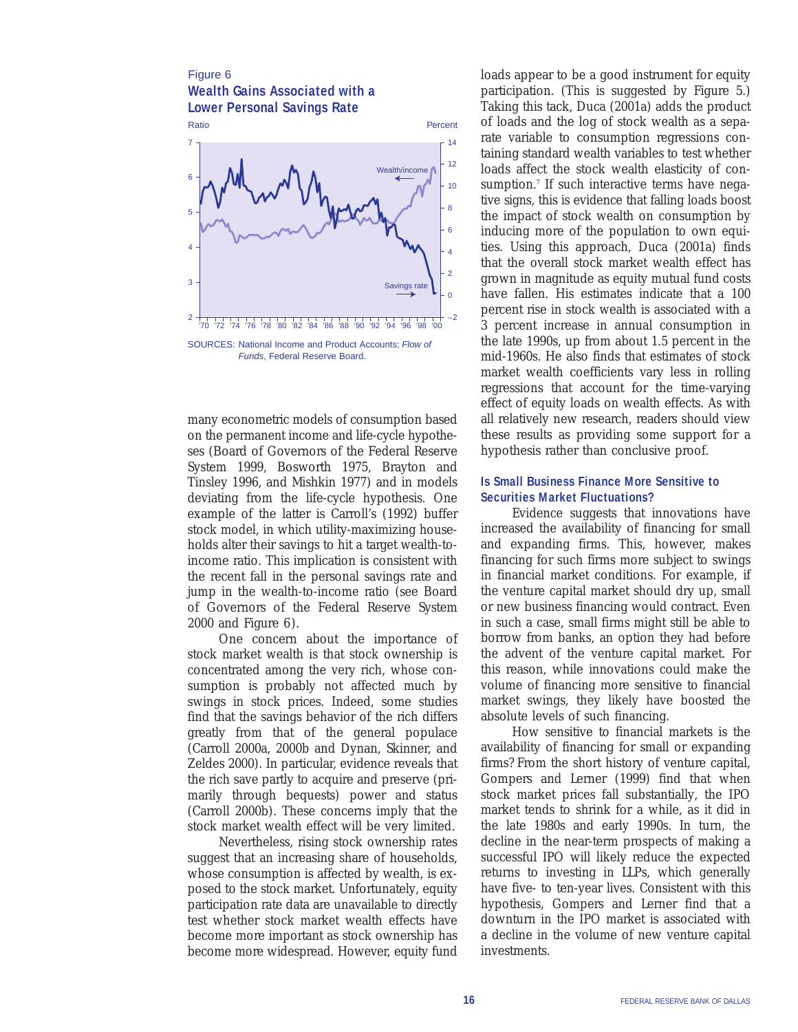## Figure 6 **Wealth Gains Associated with a Lower Personal Savings Rate**



many econometric models of consumption based on the permanent income and life-cycle hypotheses (Board of Governors of the Federal Reserve System 1999, Bosworth 1975, Brayton and Tinsley 1996, and Mishkin 1977) and in models deviating from the life-cycle hypothesis. One example of the latter is Carroll's (1992) buffer stock model, in which utility-maximizing households alter their savings to hit a target wealth-toincome ratio. This implication is consistent with the recent fall in the personal savings rate and jump in the wealth-to-income ratio (see Board of Governors of the Federal Reserve System 2000 and Figure 6).

One concern about the importance of stock market wealth is that stock ownership is concentrated among the very rich, whose consumption is probably not affected much by swings in stock prices. Indeed, some studies find that the savings behavior of the rich differs greatly from that of the general populace (Carroll 2000a, 2000b and Dynan, Skinner, and Zeldes 2000). In particular, evidence reveals that the rich save partly to acquire and preserve (primarily through bequests) power and status (Carroll 2000b). These concerns imply that the stock market wealth effect will be very limited.

Nevertheless, rising stock ownership rates suggest that an increasing share of households, whose consumption is affected by wealth, is exposed to the stock market. Unfortunately, equity participation rate data are unavailable to directly test whether stock market wealth effects have become more important as stock ownership has become more widespread. However, equity fund

loads appear to be a good instrument for equity participation. (This is suggested by Figure 5.) Taking this tack, Duca (2001a) adds the product of loads and the log of stock wealth as a separate variable to consumption regressions containing standard wealth variables to test whether loads affect the stock wealth elasticity of consumption.<sup>7</sup> If such interactive terms have negative signs, this is evidence that falling loads boost the impact of stock wealth on consumption by inducing more of the population to own equities. Using this approach, Duca (2001a) finds that the overall stock market wealth effect has grown in magnitude as equity mutual fund costs have fallen. His estimates indicate that a 100 percent rise in stock wealth is associated with a 3 percent increase in annual consumption in the late 1990s, up from about 1.5 percent in the mid-1960s. He also finds that estimates of stock market wealth coefficients vary less in rolling regressions that account for the time-varying effect of equity loads on wealth effects. As with all relatively new research, readers should view these results as providing some support for a hypothesis rather than conclusive proof.

#### **Is Small Business Finance More Sensitive to Securities Market Fluctuations?**

Evidence suggests that innovations have increased the availability of financing for small and expanding firms. This, however, makes financing for such firms more subject to swings in financial market conditions. For example, if the venture capital market should dry up, small or new business financing would contract. Even in such a case, small firms might still be able to borrow from banks, an option they had before the advent of the venture capital market. For this reason, while innovations could make the volume of financing more sensitive to financial market swings, they likely have boosted the absolute levels of such financing.

How sensitive to financial markets is the availability of financing for small or expanding firms? From the short history of venture capital, Gompers and Lerner (1999) find that when stock market prices fall substantially, the IPO market tends to shrink for a while, as it did in the late 1980s and early 1990s. In turn, the decline in the near-term prospects of making a successful IPO will likely reduce the expected returns to investing in LLPs, which generally have five- to ten-year lives. Consistent with this hypothesis, Gompers and Lerner find that a downturn in the IPO market is associated with a decline in the volume of new venture capital investments.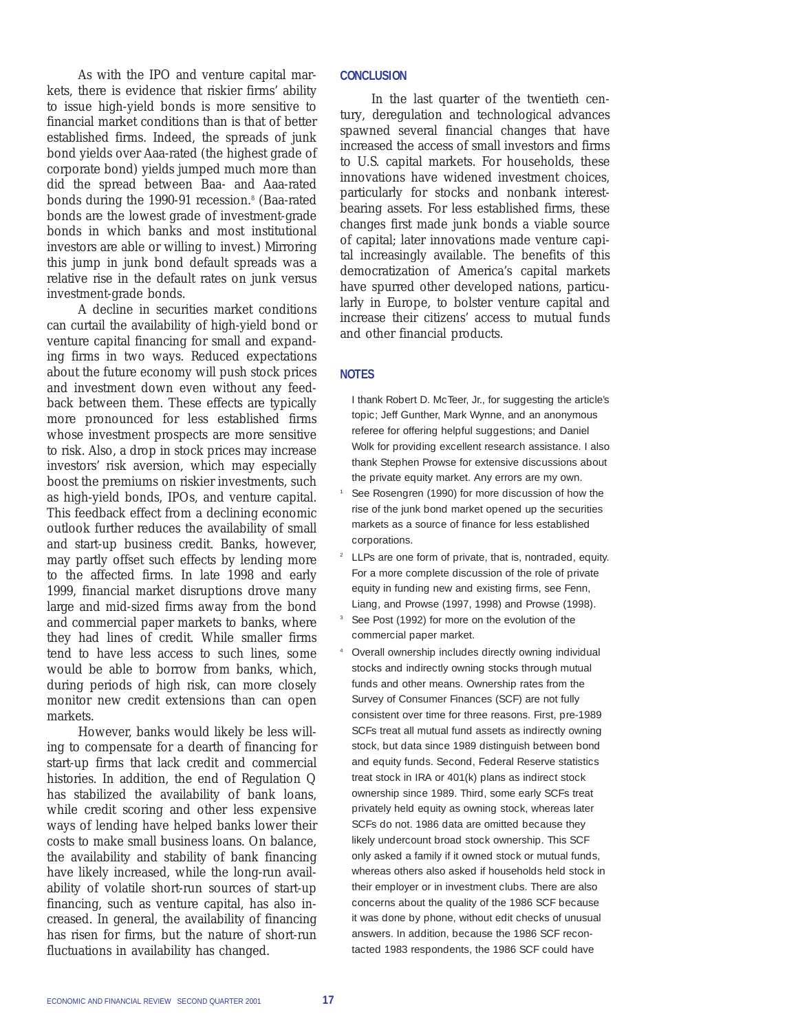As with the IPO and venture capital markets, there is evidence that riskier firms' ability to issue high-yield bonds is more sensitive to financial market conditions than is that of better established firms. Indeed, the spreads of junk bond yields over Aaa-rated (the highest grade of corporate bond) yields jumped much more than did the spread between Baa- and Aaa-rated bonds during the 1990-91 recession.<sup>8</sup> (Baa-rated bonds are the lowest grade of investment-grade bonds in which banks and most institutional investors are able or willing to invest.) Mirroring this jump in junk bond default spreads was a relative rise in the default rates on junk versus investment-grade bonds.

A decline in securities market conditions can curtail the availability of high-yield bond or venture capital financing for small and expanding firms in two ways. Reduced expectations about the future economy will push stock prices and investment down even without any feedback between them. These effects are typically more pronounced for less established firms whose investment prospects are more sensitive to risk. Also, a drop in stock prices may increase investors' risk aversion, which may especially boost the premiums on riskier investments, such as high-yield bonds, IPOs, and venture capital. This feedback effect from a declining economic outlook further reduces the availability of small and start-up business credit. Banks, however, may partly offset such effects by lending more to the affected firms. In late 1998 and early 1999, financial market disruptions drove many large and mid-sized firms away from the bond and commercial paper markets to banks, where they had lines of credit. While smaller firms tend to have less access to such lines, some would be able to borrow from banks, which, during periods of high risk, can more closely monitor new credit extensions than can open markets.

However, banks would likely be less willing to compensate for a dearth of financing for start-up firms that lack credit and commercial histories. In addition, the end of Regulation Q has stabilized the availability of bank loans, while credit scoring and other less expensive ways of lending have helped banks lower their costs to make small business loans. On balance, the availability and stability of bank financing have likely increased, while the long-run availability of volatile short-run sources of start-up financing, such as venture capital, has also increased. In general, the availability of financing has risen for firms, but the nature of short-run fluctuations in availability has changed.

#### **CONCLUSION**

In the last quarter of the twentieth century, deregulation and technological advances spawned several financial changes that have increased the access of small investors and firms to U.S. capital markets. For households, these innovations have widened investment choices, particularly for stocks and nonbank interestbearing assets. For less established firms, these changes first made junk bonds a viable source of capital; later innovations made venture capital increasingly available. The benefits of this democratization of America's capital markets have spurred other developed nations, particularly in Europe, to bolster venture capital and increase their citizens' access to mutual funds and other financial products.

## **NOTES**

- I thank Robert D. McTeer, Jr., for suggesting the article's topic; Jeff Gunther, Mark Wynne, and an anonymous referee for offering helpful suggestions; and Daniel Wolk for providing excellent research assistance. I also thank Stephen Prowse for extensive discussions about the private equity market. Any errors are my own.
- See Rosengren (1990) for more discussion of how the rise of the junk bond market opened up the securities markets as a source of finance for less established corporations.
- <sup>2</sup> LLPs are one form of private, that is, nontraded, equity. For a more complete discussion of the role of private equity in funding new and existing firms, see Fenn, Liang, and Prowse (1997, 1998) and Prowse (1998).
- See Post (1992) for more on the evolution of the commercial paper market.
- <sup>4</sup> Overall ownership includes directly owning individual stocks and indirectly owning stocks through mutual funds and other means. Ownership rates from the Survey of Consumer Finances (SCF) are not fully consistent over time for three reasons. First, pre-1989 SCFs treat all mutual fund assets as indirectly owning stock, but data since 1989 distinguish between bond and equity funds. Second, Federal Reserve statistics treat stock in IRA or 401(k) plans as indirect stock ownership since 1989. Third, some early SCFs treat privately held equity as owning stock, whereas later SCFs do not. 1986 data are omitted because they likely undercount broad stock ownership. This SCF only asked a family if it owned stock or mutual funds, whereas others also asked if households held stock in their employer or in investment clubs. There are also concerns about the quality of the 1986 SCF because it was done by phone, without edit checks of unusual answers. In addition, because the 1986 SCF recontacted 1983 respondents, the 1986 SCF could have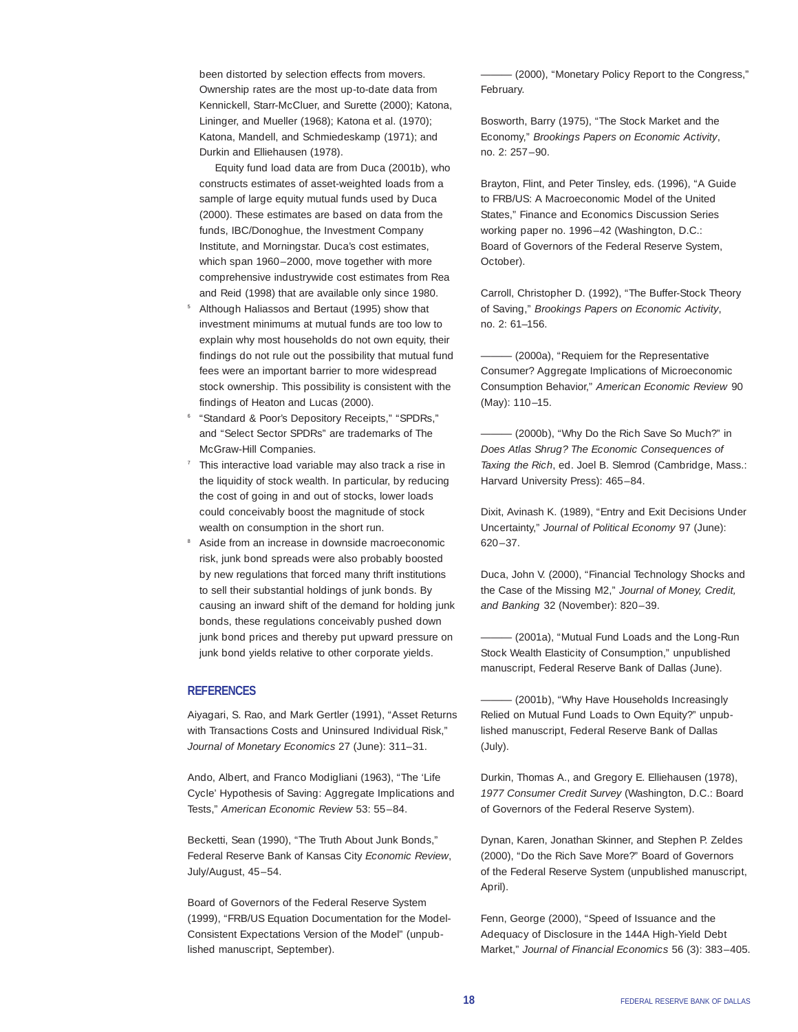been distorted by selection effects from movers. Ownership rates are the most up-to-date data from Kennickell, Starr-McCluer, and Surette (2000); Katona, Lininger, and Mueller (1968); Katona et al. (1970); Katona, Mandell, and Schmiedeskamp (1971); and Durkin and Elliehausen (1978).

Equity fund load data are from Duca (2001b), who constructs estimates of asset-weighted loads from a sample of large equity mutual funds used by Duca (2000). These estimates are based on data from the funds, IBC/Donoghue, the Investment Company Institute, and Morningstar. Duca's cost estimates, which span 1960–2000, move together with more comprehensive industrywide cost estimates from Rea and Reid (1998) that are available only since 1980.

- <sup>5</sup> Although Haliassos and Bertaut (1995) show that investment minimums at mutual funds are too low to explain why most households do not own equity, their findings do not rule out the possibility that mutual fund fees were an important barrier to more widespread stock ownership. This possibility is consistent with the findings of Heaton and Lucas (2000).
- <sup>6</sup> "Standard & Poor's Depository Receipts," "SPDRs," and "Select Sector SPDRs" are trademarks of The McGraw-Hill Companies.
- This interactive load variable may also track a rise in the liquidity of stock wealth. In particular, by reducing the cost of going in and out of stocks, lower loads could conceivably boost the magnitude of stock wealth on consumption in the short run.
- Aside from an increase in downside macroeconomic risk, junk bond spreads were also probably boosted by new regulations that forced many thrift institutions to sell their substantial holdings of junk bonds. By causing an inward shift of the demand for holding junk bonds, these regulations conceivably pushed down junk bond prices and thereby put upward pressure on junk bond yields relative to other corporate yields.

#### **REFERENCES**

Aiyagari, S. Rao, and Mark Gertler (1991), "Asset Returns with Transactions Costs and Uninsured Individual Risk," *Journal of Monetary Economics* 27 (June): 311–31.

Ando, Albert, and Franco Modigliani (1963), "The 'Life Cycle' Hypothesis of Saving: Aggregate Implications and Tests," *American Economic Review* 53: 55–84.

Becketti, Sean (1990), "The Truth About Junk Bonds," Federal Reserve Bank of Kansas City *Economic Review*, July/August, 45–54.

Board of Governors of the Federal Reserve System (1999), "FRB/US Equation Documentation for the Model-Consistent Expectations Version of the Model" (unpublished manuscript, September).

——— (2000), "Monetary Policy Report to the Congress," February.

Bosworth, Barry (1975), "The Stock Market and the Economy," *Brookings Papers on Economic Activity*, no. 2: 257–90.

Brayton, Flint, and Peter Tinsley, eds. (1996), "A Guide to FRB/US: A Macroeconomic Model of the United States," Finance and Economics Discussion Series working paper no. 1996–42 (Washington, D.C.: Board of Governors of the Federal Reserve System, October).

Carroll, Christopher D. (1992), "The Buffer-Stock Theory of Saving," *Brookings Papers on Economic Activity*, no. 2: 61–156.

 $-$  (2000a), "Requiem for the Representative Consumer? Aggregate Implications of Microeconomic Consumption Behavior," *American Economic Review* 90 (May): 110–15.

 $-$  (2000b), "Why Do the Rich Save So Much?" in *Does Atlas Shrug? The Economic Consequences of Taxing the Rich*, ed. Joel B. Slemrod (Cambridge, Mass.: Harvard University Press): 465–84.

Dixit, Avinash K. (1989), "Entry and Exit Decisions Under Uncertainty," *Journal of Political Economy* 97 (June): 620–37.

Duca, John V. (2000), "Financial Technology Shocks and the Case of the Missing M2," *Journal of Money, Credit, and Banking* 32 (November): 820–39.

 $-$  (2001a), "Mutual Fund Loads and the Long-Run Stock Wealth Elasticity of Consumption," unpublished manuscript, Federal Reserve Bank of Dallas (June).

- (2001b), "Why Have Households Increasingly Relied on Mutual Fund Loads to Own Equity?" unpublished manuscript, Federal Reserve Bank of Dallas (July).

Durkin, Thomas A., and Gregory E. Elliehausen (1978), *1977 Consumer Credit Survey* (Washington, D.C.: Board of Governors of the Federal Reserve System).

Dynan, Karen, Jonathan Skinner, and Stephen P. Zeldes (2000), "Do the Rich Save More?" Board of Governors of the Federal Reserve System (unpublished manuscript, April).

Fenn, George (2000), "Speed of Issuance and the Adequacy of Disclosure in the 144A High-Yield Debt Market," *Journal of Financial Economics* 56 (3): 383–405.